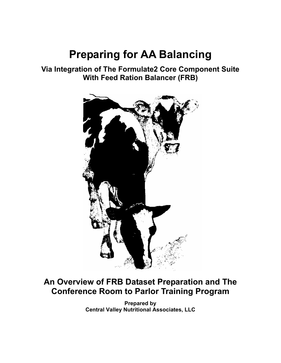# **Preparing for AA Balancing**

## **Via Integration of The Formulate2 Core Component Suite With Feed Ration Balancer (FRB)**



## **An Overview of FRB Dataset Preparation and The Conference Room to Parlor Training Program**

**Prepared by Central Valley Nutritional Associates, LLC**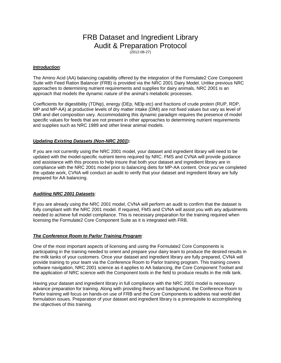## FRB Dataset and Ingredient Library Audit & Preparation Protocol

(2012-08-27)

#### *Introduction*:

The Amino Acid (AA) balancing capability offered by the integration of the Formulate2 Core Component Suite with Feed Ration Balancer (FRB) is provided via the NRC 2001 Dairy Model. Unlike previous NRC approaches to determining nutrient requirements and supplies for dairy animals, NRC 2001 is an approach that models the dynamic nature of the animal's metabolic processes.

Coefficients for digestibility (TDNp), energy (DEp, NElp etc) and fractions of crude protein (RUP, RDP, MP and MP-AA) at productive levels of dry matter intake (DMI) are not fixed values but vary as level of DMI and diet composition vary. Accommodating this dynamic paradigm requires the presence of model specific values for feeds that are not present in other approaches to determining nutrient requirements and supplies such as NRC 1989 and other linear animal models.

### *Updating Existing Datasets (Non-NRC 2001***):**

If you are not currently using the NRC 2001 model, your dataset and ingredient library will need to be updated with the model-specific nutrient items required by NRC. FMS and CVNA will provide guidance and assistance with this process to help insure that both your dataset and ingredient library are in compliance with the NRC 2001 model prior to balancing diets for MP-AA content. Once you've completed the update work, CVNA will conduct an audit to verify that your dataset and ingredient library are fully prepared for AA balancing.

#### *Auditing NRC 2001 Datasets*:

If you are already using the NRC 2001 model, CVNA will perform an audit to confirm that the dataset is fully compliant with the NRC 2001 model. If required, FMS and CVNA will assist you with any adjustments needed to achieve full model compliance. This is necessary preparation for the training required when licensing the Formulate2 Core Component Suite as it is integrated with FRB.

### *The Conference Room to Parlor Training Program*:

One of the most important aspects of licensing and using the Formulate2 Core Components is participating in the training needed to orient and prepare your dairy team to produce the desired results in the milk tanks of your customers. Once your dataset and ingredient library are fully prepared, CVNA will provide training to your team via the Conference Room to Parlor training program. This training covers software navigation, NRC 2001 science as it applies to AA balancing, the Core Component Toolset and the application of NRC science with the Component tools in the field to produce results in the milk tank.

Having your dataset and ingredient library in full compliance with the NRC 2001 model is necessary advance preparation for training. Along with providing theory and background, the Conference Room to Parlor training will focus on hands-on use of FRB and the Core Components to address real world diet formulation issues. Preparation of your dataset and ingredient library is a prerequisite to accomplishing the objectives of this training.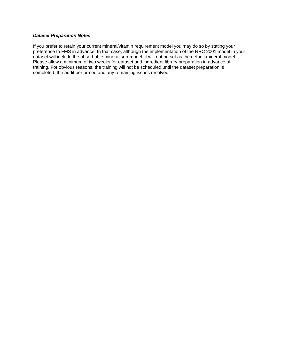### *Dataset Preparation Notes*:

If you prefer to retain your current mineral/vitamin requirement model you may do so by stating your preference to FMS in advance. In that case, although the implementation of the NRC 2001 model in your dataset will include the absorbable mineral sub-model, it will not be set as the default mineral model. Please allow a minimum of two weeks for dataset and ingredient library preparation in advance of training. For obvious reasons, the training will not be scheduled until the dataset preparation is completed, the audit performed and any remaining issues resolved.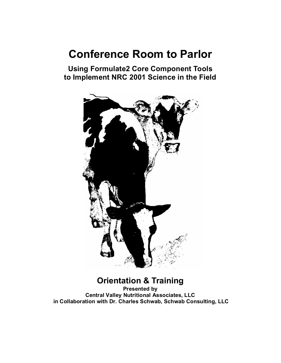# **Conference Room to Parlor**

**Using Formulate2 Core Component Tools to Implement NRC 2001 Science in the Field** 



## **Orientation & Training**

**Presented by Central Valley Nutritional Associates, LLC in Collaboration with Dr. Charles Schwab, Schwab Consulting, LLC**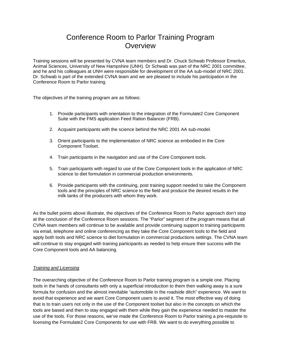### Conference Room to Parlor Training Program **Overview**

Training sessions will be presented by CVNA team members and Dr. Chuck Schwab Professor Emeritus, Animal Sciences, University of New Hampshire (UNH). Dr Schwab was part of the NRC 2001 committee, and he and his colleagues at UNH were responsible for development of the AA sub-model of NRC 2001. Dr. Schwab is part of the extended CVNA team and we are pleased to include his participation in the Conference Room to Parlor training.

The objectives of the training program are as follows:

- 1. Provide participants with orientation to the integration of the Formulate2 Core Component Suite with the FMS application Feed Ration Balancer (FRB).
- 2. Acquaint participants with the science behind the NRC 2001 AA sub-model.
- 3. Orient participants to the implementation of NRC science as embodied in the Core Component Toolset.
- 4. Train participants in the navigation and use of the Core Component tools.
- 5. Train participants with regard to use of the Core Component tools in the application of NRC science to diet formulation in commercial production environments.
- 6. Provide participants with the continuing, post training support needed to take the Component tools and the principles of NRC science to the field and produce the desired results in the milk tanks of the producers with whom they work.

As the bullet points above illustrate, the objectives of the Conference Room to Parlor approach don't stop at the conclusion of the Conference Room sessions. The "Parlor" segment of the program means that all CVNA team members will continue to be available and provide continuing support to training participants via email, telephone and online conferencing as they take the Core Component tools to the field and apply both tools and NRC science to diet formulation in commercial productions settings. The CVNA team will continue to stay engaged with training participants as needed to help ensure their success with the Core Component tools and AA balancing.

### *Training and Licensing*

The overarching objective of the Conference Room to Parlor training program is a simple one. Placing tools in the hands of consultants with only a superficial introduction to them then walking away is a sure formula for confusion and the almost inevitable "automobile in the roadside ditch" experience. We want to avoid that experience and we want Core Component users to avoid it. The most effective way of doing that is to train users not only in the use of the Component toolset but also in the concepts on which the tools are based and then to stay engaged with them while they gain the experience needed to master the use of the tools. For those reasons, we've made the Conference Room to Parlor training a pre-requisite to licensing the Formulate2 Core Components for use with FRB. We want to do everything possible to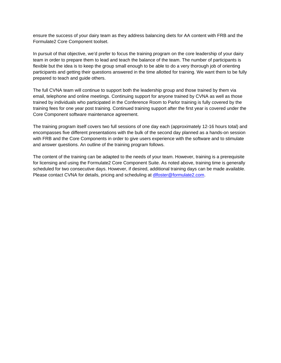ensure the success of your dairy team as they address balancing diets for AA content with FRB and the Formulate2 Core Component toolset.

In pursuit of that objective, we'd prefer to focus the training program on the core leadership of your dairy team in order to prepare them to lead and teach the balance of the team. The number of participants is flexible but the idea is to keep the group small enough to be able to do a very thorough job of orienting participants and getting their questions answered in the time allotted for training. We want them to be fully prepared to teach and guide others.

The full CVNA team will continue to support both the leadership group and those trained by them via email, telephone and online meetings. Continuing support for anyone trained by CVNA as well as those trained by individuals who participated in the Conference Room to Parlor training is fully covered by the training fees for one year post training. Continued training support after the first year is covered under the Core Component software maintenance agreement.

The training program itself covers two full sessions of one day each (approximately 12-16 hours total) and encompasses five different presentations with the bulk of the second day planned as a hands-on session with FRB and the Core Components in order to give users experience with the software and to stimulate and answer questions. An outline of the training program follows.

The content of the training can be adapted to the needs of your team. However, training is a prerequisite for licensing and using the Formulate2 Core Component Suite. As noted above, training time is generally scheduled for two consecutive days. However, if desired, additional training days can be made available. Please contact CVNA for details, pricing and scheduling at dlfoster@formulate2.com.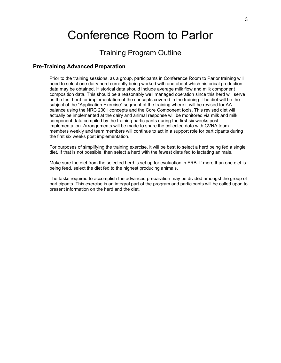# Conference Room to Parlor

### Training Program Outline

### **Pre-Training Advanced Preparation**

Prior to the training sessions, as a group, participants in Conference Room to Parlor training will need to select one dairy herd currently being worked with and about which historical production data may be obtained. Historical data should include average milk flow and milk component composition data. This should be a reasonably well managed operation since this herd will serve as the test herd for implementation of the concepts covered in the training. The diet will be the subject of the "Application Exercise" segment of the training where it will be revised for AA balance using the NRC 2001 concepts and the Core Component tools. This revised diet will actually be implemented at the dairy and animal response will be monitored via milk and milk component data compiled by the training participants during the first six weeks post implementation. Arrangements will be made to share the collected data with CVNA team members weekly and team members will continue to act in a support role for participants during the first six weeks post implementation.

For purposes of simplifying the training exercise, it will be best to select a herd being fed a single diet. If that is not possible, then select a herd with the fewest diets fed to lactating animals.

Make sure the diet from the selected herd is set up for evaluation in FRB. If more than one diet is being feed, select the diet fed to the highest producing animals.

The tasks required to accomplish the advanced preparation may be divided amongst the group of participants. This exercise is an integral part of the program and participants will be called upon to present information on the herd and the diet.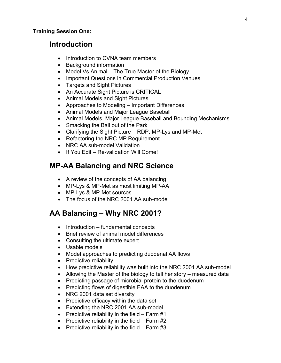### **Introduction**

- Introduction to CVNA team members
- Background information
- $\bullet$  Model Vs Animal The True Master of the Biology
- Important Questions in Commercial Production Venues
- Targets and Sight Pictures
- An Accurate Sight Picture is CRITICAL
- Animal Models and Sight Pictures
- Approaches to Modeling Important Differences
- Animal Models and Major League Baseball
- Animal Models, Major League Baseball and Bounding Mechanisms
- Smacking the Ball out of the Park
- Clarifying the Sight Picture RDP, MP-Lys and MP-Met
- Refactoring the NRC MP Requirement
- NRC AA sub-model Validation
- If You Edit Re-validation Will Come!

## **MP-AA Balancing and NRC Science**

- A review of the concepts of AA balancing
- MP-Lys & MP-Met as most limiting MP-AA
- MP-Lys & MP-Met sources
- The focus of the NRC 2001 AA sub-model

## **AA Balancing – Why NRC 2001?**

- Introduction fundamental concepts
- Brief review of animal model differences
- Consulting the ultimate expert
- Usable models
- Model approaches to predicting duodenal AA flows
- Predictive reliability
- How predictive reliability was built into the NRC 2001 AA sub-model
- Allowing the Master of the biology to tell her story measured data
- Predicting passage of microbial protein to the duodenum
- Predicting flows of digestible EAA to the duodenum
- NRC 2001 data set diversity
- Predictive efficacy within the data set
- Extending the NRC 2001 AA sub-model
- Predictive reliability in the field  $-$  Farm #1
- Predictive reliability in the field  $-$  Farm #2
- Predictive reliability in the field  $-$  Farm #3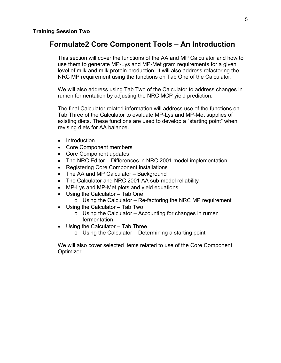### **Formulate2 Core Component Tools – An Introduction**

This section will cover the functions of the AA and MP Calculator and how to use them to generate MP-Lys and MP-Met gram requirements for a given level of milk and milk protein production. It will also address refactoring the NRC MP requirement using the functions on Tab One of the Calculator.

We will also address using Tab Two of the Calculator to address changes in rumen fermentation by adjusting the NRC MCP yield prediction.

The final Calculator related information will address use of the functions on Tab Three of the Calculator to evaluate MP-Lys and MP-Met supplies of existing diets. These functions are used to develop a "starting point" when revising diets for AA balance.

- Introduction
- Core Component members
- Core Component updates
- The NRC Editor Differences in NRC 2001 model implementation
- Registering Core Component installations
- The AA and MP Calculator Background
- The Calculator and NRC 2001 AA sub-model reliability
- MP-Lys and MP-Met plots and yield equations
- Using the Calculator Tab One
	- $\circ$  Using the Calculator Re-factoring the NRC MP requirement
- Using the Calculator Tab Two
	- o Using the Calculator Accounting for changes in rumen fermentation
- Using the Calculator Tab Three
	- $\circ$  Using the Calculator Determining a starting point

We will also cover selected items related to use of the Core Component Optimizer.